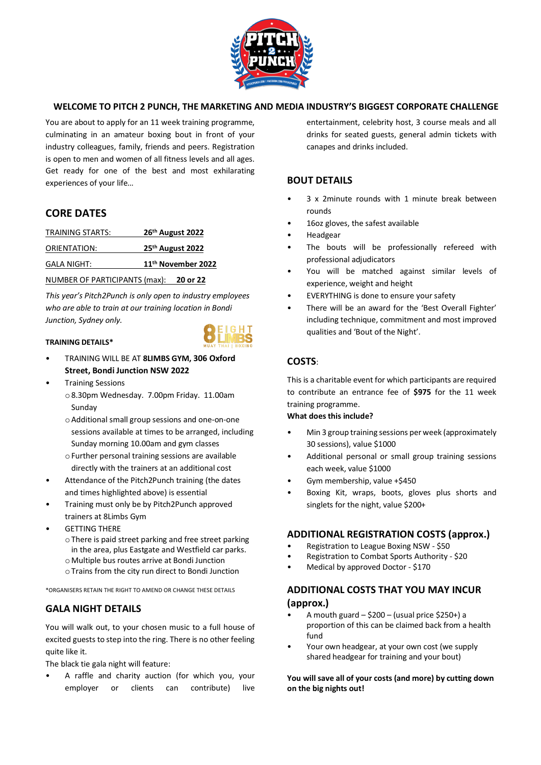

### **WELCOME TO PITCH 2 PUNCH, THE MARKETING AND MEDIA INDUSTRY'S BIGGEST CORPORATE CHALLENGE**

You are about to apply for an 11 week training programme, culminating in an amateur boxing bout in front of your industry colleagues, family, friends and peers. Registration is open to men and women of all fitness levels and all ages. Get ready for one of the best and most exhilarating experiences of your life…

# **CORE DATES**

| TRAINING STARTS:              | 26 <sup>th</sup> August 2022 |
|-------------------------------|------------------------------|
| ORIENTATION:                  | 25 <sup>th</sup> August 2022 |
| <b>GALA NIGHT:</b>            | 11th November 2022           |
| NUMBER OF PARTICIPANTS (max): | 20 or 22                     |

*This year's Pitch2Punch is only open to industry employees who are able to train at our training location in Bondi Junction, Sydney only.*

### **TRAINING DETAILS\***



- TRAINING WILL BE AT **8LIMBS GYM, 306 Oxford Street, Bondi Junction NSW 2022**
- Training Sessions
	- o8.30pm Wednesday. 7.00pm Friday. 11.00am Sunday
	- oAdditional small group sessions and one-on-one sessions available at times to be arranged, including Sunday morning 10.00am and gym classes
	- oFurther personal training sessions are available directly with the trainers at an additional cost
- Attendance of the Pitch2Punch training (the dates and times highlighted above) is essential
- Training must only be by Pitch2Punch approved trainers at 8Limbs Gym
- **GETTING THERE** 
	- oThere is paid street parking and free street parking in the area, plus Eastgate and Westfield car parks.
	- oMultiple bus routes arrive at Bondi Junction
	- oTrains from the city run direct to Bondi Junction

\*ORGANISERS RETAIN THE RIGHT TO AMEND OR CHANGE THESE DETAILS

# **GALA NIGHT DETAILS**

You will walk out, to your chosen music to a full house of excited guests to step into the ring. There is no other feeling quite like it.

The black tie gala night will feature:

• A raffle and charity auction (for which you, your employer or clients can contribute) live entertainment, celebrity host, 3 course meals and all drinks for seated guests, general admin tickets with canapes and drinks included.

## **BOUT DETAILS**

- 3 x 2minute rounds with 1 minute break between rounds
- 16oz gloves, the safest available
- Headgear
- The bouts will be professionally refereed with professional adjudicators
- You will be matched against similar levels of experience, weight and height
- EVERYTHING is done to ensure your safety
- There will be an award for the 'Best Overall Fighter' including technique, commitment and most improved qualities and 'Bout of the Night'.

### **COSTS**:

This is a charitable event for which participants are required to contribute an entrance fee of **\$975** for the 11 week training programme.

#### **What does this include?**

- Min 3 group training sessions per week (approximately 30 sessions), value \$1000
- Additional personal or small group training sessions each week, value \$1000
- Gym membership, value +\$450
- Boxing Kit, wraps, boots, gloves plus shorts and singlets for the night, value \$200+

### **ADDITIONAL REGISTRATION COSTS (approx.)**

- Registration to League Boxing NSW \$50
- Registration to Combat Sports Authority \$20
- Medical by approved Doctor \$170

### **ADDITIONAL COSTS THAT YOU MAY INCUR (approx.)**

- A mouth guard  $-$  \$200 (usual price \$250+) a proportion of this can be claimed back from a health fund
- Your own headgear, at your own cost (we supply shared headgear for training and your bout)

#### **You will save all of your costs (and more) by cutting down on the big nights out!**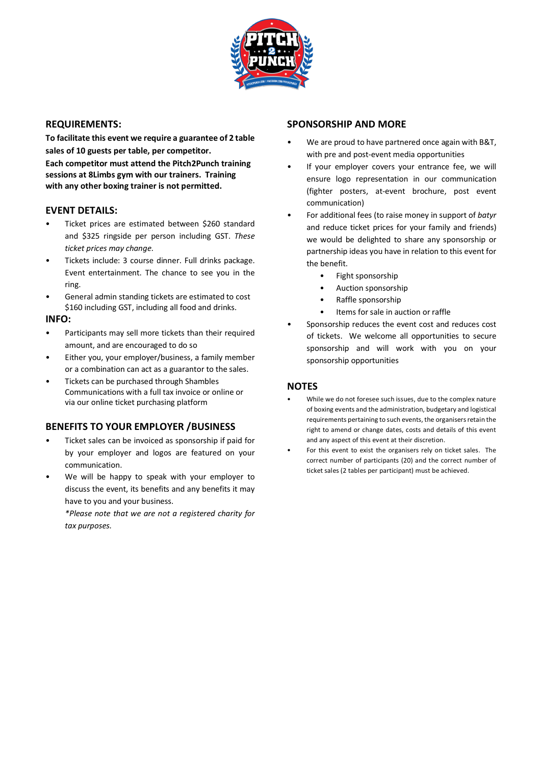

### **REQUIREMENTS:**

**To facilitate this event we require a guarantee of 2 table sales of 10 guests per table, per competitor.**

**Each competitor must attend the Pitch2Punch training sessions at 8Limbs gym with our trainers. Training with any other boxing trainer is not permitted.**

### **EVENT DETAILS:**

- Ticket prices are estimated between \$260 standard and \$325 ringside per person including GST. *These ticket prices may change.*
- Tickets include: 3 course dinner. Full drinks package. Event entertainment. The chance to see you in the ring.
- General admin standing tickets are estimated to cost \$160 including GST, including all food and drinks.

### **INFO:**

- Participants may sell more tickets than their required amount, and are encouraged to do so
- Either you, your employer/business, a family member or a combination can act as a guarantor to the sales.
- Tickets can be purchased through Shambles Communications with a full tax invoice or online or via our online ticket purchasing platform

### **BENEFITS TO YOUR EMPLOYER /BUSINESS**

- Ticket sales can be invoiced as sponsorship if paid for by your employer and logos are featured on your communication.
- We will be happy to speak with your employer to discuss the event, its benefits and any benefits it may have to you and your business.

*\*Please note that we are not a registered charity for tax purposes.*

## **SPONSORSHIP AND MORE**

- We are proud to have partnered once again with B&T, with pre and post-event media opportunities
- If your employer covers your entrance fee, we will ensure logo representation in our communication (fighter posters, at-event brochure, post event communication)
- For additional fees (to raise money in support of *batyr* and reduce ticket prices for your family and friends) we would be delighted to share any sponsorship or partnership ideas you have in relation to this event for the benefit.
	- Fight sponsorship
	- Auction sponsorship
	- Raffle sponsorship
	- Items for sale in auction or raffle
- Sponsorship reduces the event cost and reduces cost of tickets. We welcome all opportunities to secure sponsorship and will work with you on your sponsorship opportunities

### **NOTES**

- While we do not foresee such issues, due to the complex nature of boxing events and the administration, budgetary and logistical requirements pertaining to such events, the organisers retain the right to amend or change dates, costs and details of this event and any aspect of this event at their discretion.
- For this event to exist the organisers rely on ticket sales. The correct number of participants (20) and the correct number of ticket sales (2 tables per participant) must be achieved.